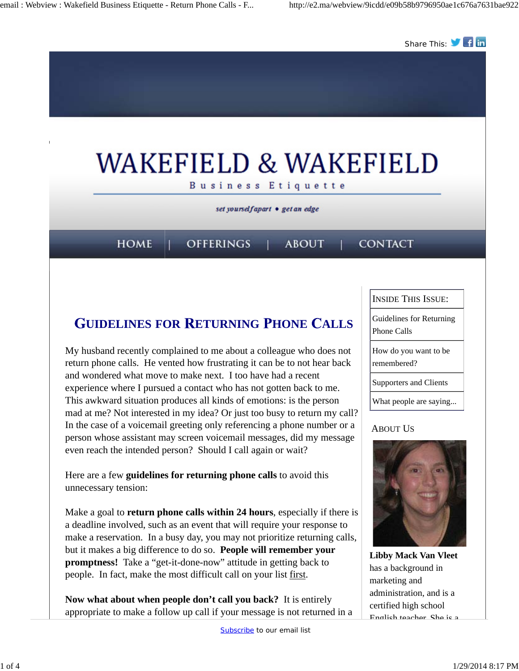

## **UIDELINES FOR ETURNING HONE ALLS**

My husband recently complained to me about a colleague who does not return phone calls. He vented how frustrating it can be to not hear back and wondered what move to make next. I too have had a recent experience where I pursued a contact who has not gotten back to me. This awkward situation produces all kinds of emotions: is the person mad at me? Not interested in my idea? Or just too busy to return my call? In the case of a voicemail greeting only referencing a phone number or a person whose assistant may screen voicemail messages, did my message even reach the intended person? Should I call again or wait?

Here are a few **guidelines for returning phone calls** to avoid this unnecessary tension:

Make a goal to **return phone calls within 24 hours**, especially if there is a deadline involved, such as an event that will require your response to make a reservation. In a busy day, you may not prioritize returning calls, but it makes a big difference to do so. **People will remember your promptness!** Take a "get-it-done-now" attitude in getting back to people. In fact, make the most difficult call on your list first.

**Now what about when people don't call you back?** It is entirely appropriate to make a follow up call if your message is not returned in a INSIDE THIS ISSUE:

Guidelines for Returning Phone Calls

How do you want to be remembered?

Supporters and Clients

What people are saying...

### ABOUT US



**Libby Mack Van Vleet** has a background in marketing and administration, and is a certified high school English teacher. She is a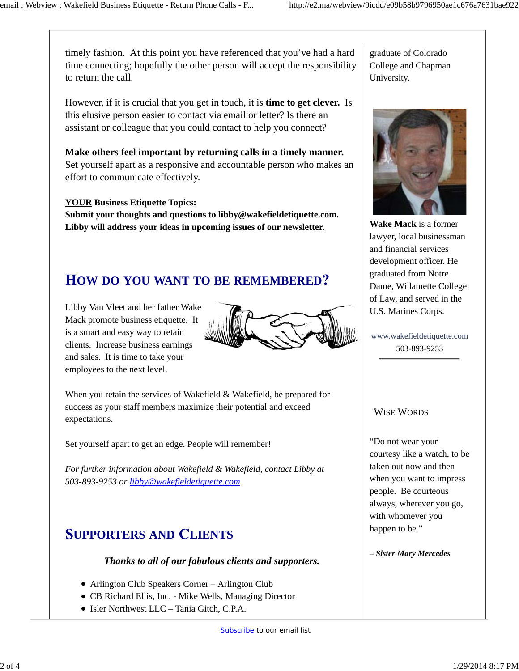timely fashion. At this point you have referenced that you've had a hard time connecting; hopefully the other person will accept the responsibility to return the call.

However, if it is crucial that you get in touch, it is **time to get clever.** Is this elusive person easier to contact via email or letter? Is there an assistant or colleague that you could contact to help you connect?

**Make others feel important by returning calls in a timely manner.**  Set yourself apart as a responsive and accountable person who makes an effort to communicate effectively.

### **YOUR Business Etiquette Topics:**

**Submit your thoughts and questions to libby@wakefieldetiquette.com. Libby will address your ideas in upcoming issues of our newsletter.**

# **OW DO YOU WANT TO BE REMEMBERED**

Libby Van Vleet and her father Wake Mack promote business etiquette. It is a smart and easy way to retain clients. Increase business earnings and sales. It is time to take your employees to the next level.



When you retain the services of Wakefield & Wakefield, be prepared for success as your staff members maximize their potential and exceed expectations.

Set yourself apart to get an edge. People will remember!

*For further information about Wakefield & Wakefield, contact Libby at 503-893-9253 or libby@wakefieldetiquette.com.*

## **UPPORTERS AND LIENTS**

#### *Thanks to all of our fabulous clients and supporters.*

- Arlington Club Speakers Corner Arlington Club
- CB Richard Ellis, Inc. Mike Wells, Managing Director
- Isler Northwest LLC Tania Gitch, C.P.A.



**Wake Mack** is a former lawyer, local businessman and financial services development officer. He graduated from Notre Dame, Willamette College of Law, and served in the U.S. Marines Corps.

www.wakefieldetiquette.com 503-893-9253

#### WISE WORDS

"Do not wear your courtesy like a watch, to be taken out now and then when you want to impress people. Be courteous always, wherever you go, with whomever you happen to be."

*– Sister Mary Mercedes*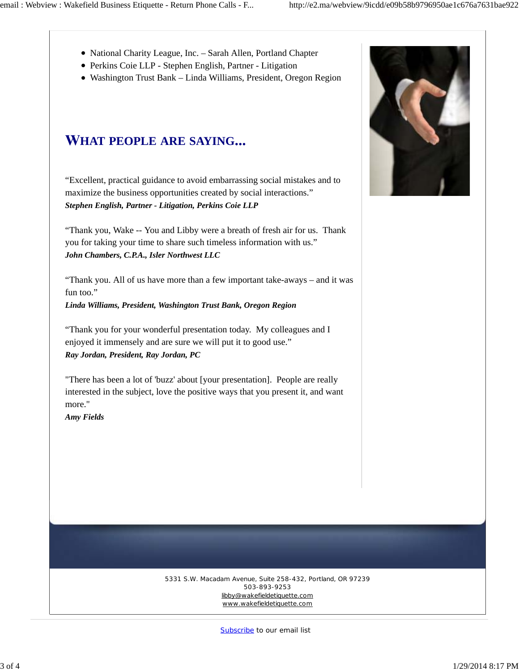- National Charity League, Inc. Sarah Allen, Portland Chapter
- Perkins Coie LLP Stephen English, Partner Litigation
- Washington Trust Bank Linda Williams, President, Oregon Region

### **HAT PEOPLE ARE SAYING**

"Excellent, practical guidance to avoid embarrassing social mistakes and to maximize the business opportunities created by social interactions." *Stephen English, Partner - Litigation, Perkins Coie LLP*

"Thank you, Wake -- You and Libby were a breath of fresh air for us. Thank you for taking your time to share such timeless information with us." *John Chambers, C.P.A., Isler Northwest LLC*

"Thank you. All of us have more than a few important take-aways – and it was fun too."

*Linda Williams, President, Washington Trust Bank, Oregon Region*

"Thank you for your wonderful presentation today. My colleagues and I enjoyed it immensely and are sure we will put it to good use." *Ray Jordan, President, Ray Jordan, PC*

"There has been a lot of 'buzz' about [your presentation]. People are really interested in the subject, love the positive ways that you present it, and want more."

*Amy Fields*



5331 S.W. Macadam Avenue, Suite 258-432, Portland, OR 97239 503-893-9253 libby@wakefieldetiquette.com www.wakefieldetiquette.com

Subscribe to our email list